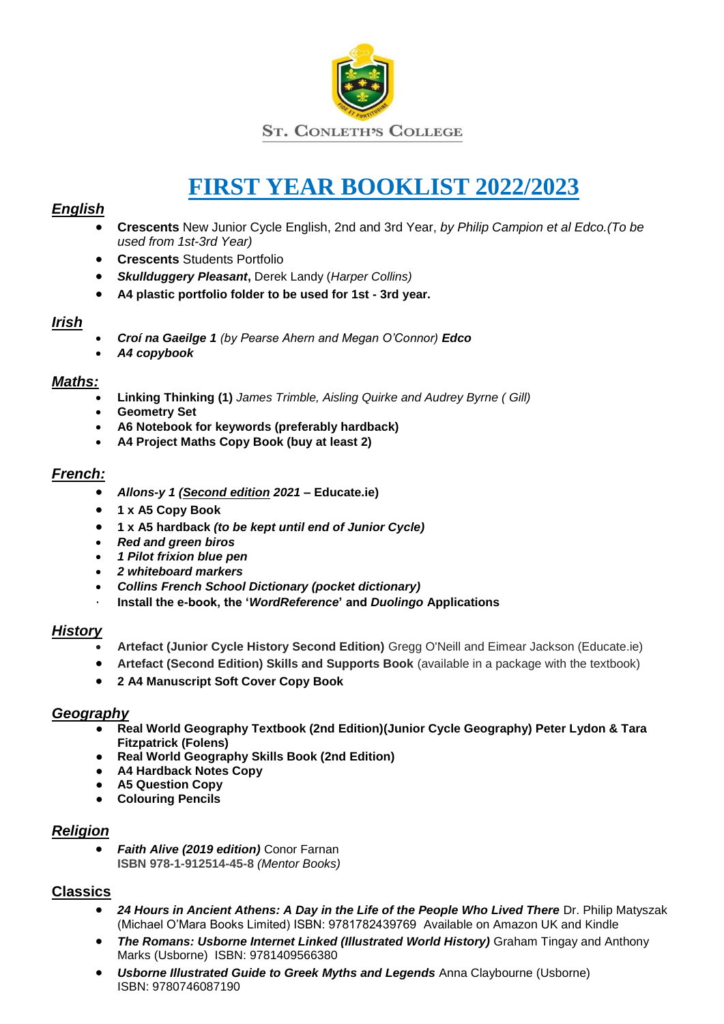

# **FIRST YEAR BOOKLIST 2022/2023**

# *English*

- **Crescents** New Junior Cycle English, 2nd and 3rd Year, *by Philip Campion et al Edco.(To be used from 1st-3rd Year)*
- **Crescents** Students Portfolio
- *Skullduggery Pleasant***,** Derek Landy (*Harper Collins)*
- **A4 plastic portfolio folder to be used for 1st - 3rd year.**

# *Irish*

- *Croí na Gaeilge 1 (by Pearse Ahern and Megan O'Connor) Edco*
- *A4 copybook*

# *Maths:*

- **Linking Thinking (1)** *James Trimble, Aisling Quirke and Audrey Byrne ( Gill)*
- **Geometry Set**
- **A6 Notebook for keywords (preferably hardback)**
- **A4 Project Maths Copy Book (buy at least 2)**

# *French:*

- *Allons-y 1 (Second edition 2021* **– Educate.ie)**
- **1 x A5 Copy Book**
- **1 x A5 hardback** *(to be kept until end of Junior Cycle)*
- *Red and green biros*
- *1 Pilot frixion blue pen*
- *2 whiteboard markers*
- *Collins French School Dictionary (pocket dictionary)*
- · **Install the e-book, the '***WordReference***' and** *Duolingo* **Applications**

# *History*

- **Artefact (Junior Cycle History Second Edition)** Gregg O'Neill and Eimear Jackson (Educate.ie)
- **•** Artefact (Second Edition) Skills and Supports Book (available in a package with the textbook)
- **2 A4 Manuscript Soft Cover Copy Book**

### *Geography*

- **Real World Geography Textbook (2nd Edition)(Junior Cycle Geography) Peter Lydon & Tara Fitzpatrick (Folens)**
- **Real World Geography Skills Book (2nd Edition)**
- **A4 Hardback Notes Copy**
- **A5 Question Copy**
- **Colouring Pencils**

### *Religion*

 *Faith Alive (2019 edition)* Conor Farnan **ISBN 978-1-912514-45-8** *(Mentor Books)*

# **Classics**

- 24 Hours in Ancient Athens: A Day in the Life of the People Who Lived There Dr. Philip Matyszak (Michael O'Mara Books Limited) ISBN: 9781782439769 Available on Amazon UK and Kindle
- **The Romans: Usborne Internet Linked (Illustrated World History)** Graham Tingay and Anthony Marks (Usborne) ISBN: 9781409566380
- *Usborne Illustrated Guide to Greek Myths and Legends* Anna Claybourne (Usborne) ISBN: 9780746087190